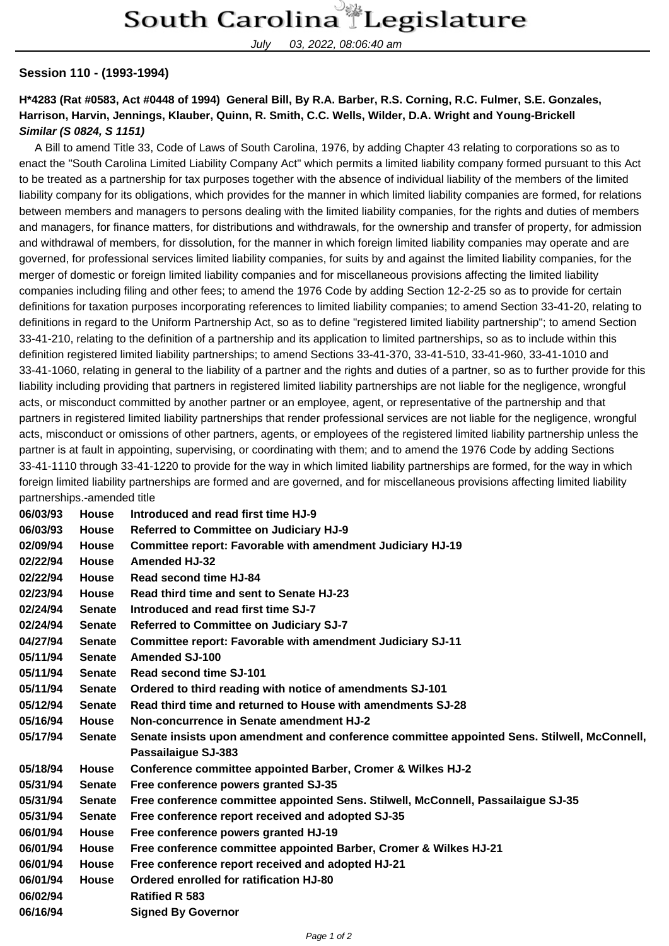July 03, 2022, 08:06:40 am

## **Session 110 - (1993-1994)**

## **H\*4283 (Rat #0583, Act #0448 of 1994) General Bill, By R.A. Barber, R.S. Corning, R.C. Fulmer, S.E. Gonzales, Harrison, Harvin, Jennings, Klauber, Quinn, R. Smith, C.C. Wells, Wilder, D.A. Wright and Young-Brickell Similar (S 0824, S 1151)**

 A Bill to amend Title 33, Code of Laws of South Carolina, 1976, by adding Chapter 43 relating to corporations so as to enact the "South Carolina Limited Liability Company Act" which permits a limited liability company formed pursuant to this Act to be treated as a partnership for tax purposes together with the absence of individual liability of the members of the limited liability company for its obligations, which provides for the manner in which limited liability companies are formed, for relations between members and managers to persons dealing with the limited liability companies, for the rights and duties of members and managers, for finance matters, for distributions and withdrawals, for the ownership and transfer of property, for admission and withdrawal of members, for dissolution, for the manner in which foreign limited liability companies may operate and are governed, for professional services limited liability companies, for suits by and against the limited liability companies, for the merger of domestic or foreign limited liability companies and for miscellaneous provisions affecting the limited liability companies including filing and other fees; to amend the 1976 Code by adding Section 12-2-25 so as to provide for certain definitions for taxation purposes incorporating references to limited liability companies; to amend Section 33-41-20, relating to definitions in regard to the Uniform Partnership Act, so as to define "registered limited liability partnership"; to amend Section 33-41-210, relating to the definition of a partnership and its application to limited partnerships, so as to include within this definition registered limited liability partnerships; to amend Sections 33-41-370, 33-41-510, 33-41-960, 33-41-1010 and 33-41-1060, relating in general to the liability of a partner and the rights and duties of a partner, so as to further provide for this liability including providing that partners in registered limited liability partnerships are not liable for the negligence, wrongful acts, or misconduct committed by another partner or an employee, agent, or representative of the partnership and that partners in registered limited liability partnerships that render professional services are not liable for the negligence, wrongful acts, misconduct or omissions of other partners, agents, or employees of the registered limited liability partnership unless the partner is at fault in appointing, supervising, or coordinating with them; and to amend the 1976 Code by adding Sections 33-41-1110 through 33-41-1220 to provide for the way in which limited liability partnerships are formed, for the way in which foreign limited liability partnerships are formed and are governed, and for miscellaneous provisions affecting limited liability partnerships.-amended title

| 06/03/93 | <b>House</b>  | Introduced and read first time HJ-9                                                         |
|----------|---------------|---------------------------------------------------------------------------------------------|
| 06/03/93 | <b>House</b>  | Referred to Committee on Judiciary HJ-9                                                     |
| 02/09/94 | <b>House</b>  | Committee report: Favorable with amendment Judiciary HJ-19                                  |
| 02/22/94 | <b>House</b>  | <b>Amended HJ-32</b>                                                                        |
| 02/22/94 | <b>House</b>  | Read second time HJ-84                                                                      |
| 02/23/94 | <b>House</b>  | Read third time and sent to Senate HJ-23                                                    |
| 02/24/94 | <b>Senate</b> | Introduced and read first time SJ-7                                                         |
| 02/24/94 | <b>Senate</b> | Referred to Committee on Judiciary SJ-7                                                     |
| 04/27/94 | <b>Senate</b> | <b>Committee report: Favorable with amendment Judiciary SJ-11</b>                           |
| 05/11/94 | <b>Senate</b> | <b>Amended SJ-100</b>                                                                       |
| 05/11/94 | <b>Senate</b> | <b>Read second time SJ-101</b>                                                              |
| 05/11/94 | <b>Senate</b> | Ordered to third reading with notice of amendments SJ-101                                   |
| 05/12/94 | <b>Senate</b> | Read third time and returned to House with amendments SJ-28                                 |
| 05/16/94 | <b>House</b>  | Non-concurrence in Senate amendment HJ-2                                                    |
| 05/17/94 | <b>Senate</b> | Senate insists upon amendment and conference committee appointed Sens. Stilwell, McConnell, |
|          |               | Passailaigue SJ-383                                                                         |
| 05/18/94 | <b>House</b>  | Conference committee appointed Barber, Cromer & Wilkes HJ-2                                 |
| 05/31/94 | <b>Senate</b> | Free conference powers granted SJ-35                                                        |
| 05/31/94 | <b>Senate</b> | Free conference committee appointed Sens. Stilwell, McConnell, Passailaigue SJ-35           |
| 05/31/94 | <b>Senate</b> | Free conference report received and adopted SJ-35                                           |
| 06/01/94 | <b>House</b>  | Free conference powers granted HJ-19                                                        |
| 06/01/94 | <b>House</b>  | Free conference committee appointed Barber, Cromer & Wilkes HJ-21                           |
| 06/01/94 | <b>House</b>  | Free conference report received and adopted HJ-21                                           |
| 06/01/94 | <b>House</b>  | Ordered enrolled for ratification HJ-80                                                     |
| 06/02/94 |               | <b>Ratified R 583</b>                                                                       |
| 06/16/94 |               | <b>Signed By Governor</b>                                                                   |